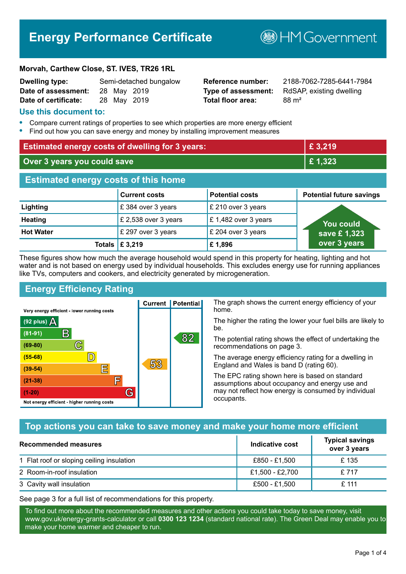# **Energy Performance Certificate**

#### **Morvah, Carthew Close, ST. IVES, TR26 1RL**

| <b>Dwelling type:</b> |             | Semi-detached bungalow |
|-----------------------|-------------|------------------------|
| Date of assessment:   | 28 May 2019 |                        |
| Date of certificate:  | 28 May 2019 |                        |

# **Total floor area:** 88 m<sup>2</sup>

**Reference number:** 2188-7062-7285-6441-7984 **Type of assessment:** RdSAP, existing dwelling

**B**HMGovernment

#### **Use this document to:**

- **•** Compare current ratings of properties to see which properties are more energy efficient
- **•** Find out how you can save energy and money by installing improvement measures

| <b>Estimated energy costs of dwelling for 3 years:</b> |                           |                        | £3,219                          |
|--------------------------------------------------------|---------------------------|------------------------|---------------------------------|
| Over 3 years you could save                            |                           |                        | £1,323                          |
| <b>Estimated energy costs of this home</b>             |                           |                        |                                 |
|                                                        | <b>Current costs</b>      | <b>Potential costs</b> | <b>Potential future savings</b> |
| Lighting                                               | £384 over 3 years         | £ 210 over 3 years     |                                 |
| <b>Heating</b>                                         | £ 2,538 over 3 years      | £1,482 over 3 years    | <b>You could</b>                |
| <b>Hot Water</b>                                       | £ 297 over 3 years        | £ 204 over 3 years     | save £1,323                     |
|                                                        | Totals $\mathsf{E}$ 3,219 | £1,896                 | over 3 years                    |

These figures show how much the average household would spend in this property for heating, lighting and hot water and is not based on energy used by individual households. This excludes energy use for running appliances like TVs, computers and cookers, and electricity generated by microgeneration.

**Current | Potential** 

53

# **Energy Efficiency Rating**

 $\mathbb{C}$ 

 $\mathbb{D}$ 

E

庐

G

Very energy efficient - lower running costs

 $\mathsf{R}% _{T}$ 

Not energy efficient - higher running costs

(92 plus)  $\Delta$ 

 $(81 - 91)$ 

 $(69 - 80)$ 

 $(55-68)$ 

 $(39 - 54)$ 

 $(21-38)$ 

 $(1-20)$ 

The graph shows the current energy efficiency of your home.

The higher the rating the lower your fuel bills are likely to be.

The potential rating shows the effect of undertaking the recommendations on page 3.

The average energy efficiency rating for a dwelling in England and Wales is band D (rating 60).

The EPC rating shown here is based on standard assumptions about occupancy and energy use and may not reflect how energy is consumed by individual occupants.

# **Top actions you can take to save money and make your home more efficient**

82

| <b>Recommended measures</b>               | Indicative cost | <b>Typical savings</b><br>over 3 years |
|-------------------------------------------|-----------------|----------------------------------------|
| 1 Flat roof or sloping ceiling insulation | £850 - £1,500   | £ 135                                  |
| 2 Room-in-roof insulation                 | £1,500 - £2,700 | £717                                   |
| 3 Cavity wall insulation                  | £500 - £1,500   | $£$ 111                                |

See page 3 for a full list of recommendations for this property.

To find out more about the recommended measures and other actions you could take today to save money, visit www.gov.uk/energy-grants-calculator or call **0300 123 1234** (standard national rate). The Green Deal may enable you to make your home warmer and cheaper to run.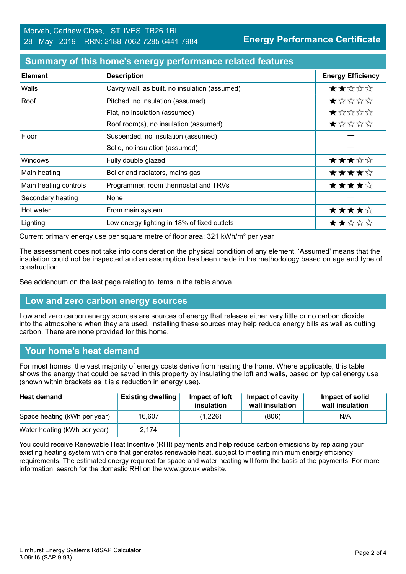| <b>Element</b>        | <b>Description</b>                             | <b>Energy Efficiency</b> |
|-----------------------|------------------------------------------------|--------------------------|
| Walls                 | Cavity wall, as built, no insulation (assumed) | ★★☆☆☆                    |
| Roof                  | Pitched, no insulation (assumed)               | $\star$ * * * *          |
|                       | Flat, no insulation (assumed)                  | $\star$ * * * *          |
|                       | Roof room(s), no insulation (assumed)          | *****                    |
| Floor                 | Suspended, no insulation (assumed)             |                          |
|                       | Solid, no insulation (assumed)                 |                          |
| Windows               | Fully double glazed                            | ★★★☆☆                    |
| Main heating          | Boiler and radiators, mains gas                | ★★★★☆                    |
| Main heating controls | Programmer, room thermostat and TRVs           | ★★★★☆                    |
| Secondary heating     | None                                           |                          |
| Hot water             | From main system                               | ★★★★☆                    |
| Lighting              | Low energy lighting in 18% of fixed outlets    | ★★☆☆☆                    |

#### **Summary of this home's energy performance related features**

Current primary energy use per square metre of floor area: 321 kWh/m² per year

The assessment does not take into consideration the physical condition of any element. 'Assumed' means that the insulation could not be inspected and an assumption has been made in the methodology based on age and type of construction.

See addendum on the last page relating to items in the table above.

#### **Low and zero carbon energy sources**

Low and zero carbon energy sources are sources of energy that release either very little or no carbon dioxide into the atmosphere when they are used. Installing these sources may help reduce energy bills as well as cutting carbon. There are none provided for this home.

#### **Your home's heat demand**

For most homes, the vast majority of energy costs derive from heating the home. Where applicable, this table shows the energy that could be saved in this property by insulating the loft and walls, based on typical energy use (shown within brackets as it is a reduction in energy use).

| <b>Heat demand</b>           | <b>Existing dwelling</b> | Impact of loft<br>insulation | Impact of cavity<br>wall insulation | Impact of solid<br>wall insulation |
|------------------------------|--------------------------|------------------------------|-------------------------------------|------------------------------------|
| Space heating (kWh per year) | 16,607                   | (1,226)                      | (806)                               | N/A                                |
| Water heating (kWh per year) | 2.174                    |                              |                                     |                                    |

You could receive Renewable Heat Incentive (RHI) payments and help reduce carbon emissions by replacing your existing heating system with one that generates renewable heat, subject to meeting minimum energy efficiency requirements. The estimated energy required for space and water heating will form the basis of the payments. For more information, search for the domestic RHI on the www.gov.uk website.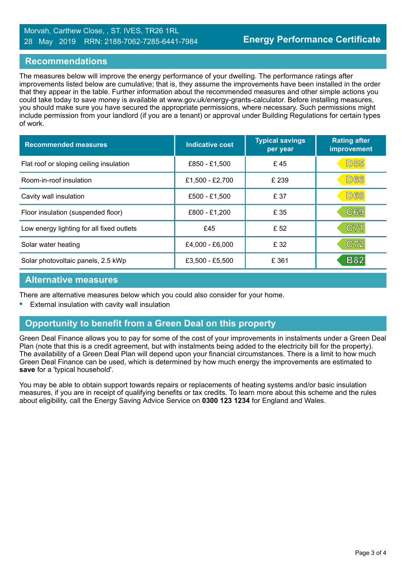#### Morvah, Carthew Close, , ST. IVES, TR26 1RL 28 May 2019 RRN: 2188-7062-7285-6441-7984

#### **Recommendations**

The measures below will improve the energy performance of your dwelling. The performance ratings after improvements listed below are cumulative; that is, they assume the improvements have been installed in the order that they appear in the table. Further information about the recommended measures and other simple actions you could take today to save money is available at www.gov.uk/energy-grants-calculator. Before installing measures, you should make sure you have secured the appropriate permissions, where necessary. Such permissions might include permission from your landlord (if you are a tenant) or approval under Building Regulations for certain types of work.

| <b>Recommended measures</b>               | <b>Indicative cost</b> | <b>Typical savings</b><br>per year | <b>Rating after</b><br>improvement |
|-------------------------------------------|------------------------|------------------------------------|------------------------------------|
| Flat roof or sloping ceiling insulation   | £850 - £1,500          | £45                                | <b>D55</b>                         |
| Room-in-roof insulation                   | £1,500 - £2,700        | £ 239                              | <b>D66</b>                         |
| Cavity wall insulation                    | £500 - £1,500          | £ 37                               | <b>D68</b>                         |
| Floor insulation (suspended floor)        | £800 - £1,200          | £ 35                               | C69                                |
| Low energy lighting for all fixed outlets | £45                    | £ 52                               | C71                                |
| Solar water heating                       | £4,000 - £6,000        | £ 32                               | C72                                |
| Solar photovoltaic panels, 2.5 kWp        | £3,500 - £5,500        | £ 361                              | <b>B82</b>                         |

#### **Alternative measures**

There are alternative measures below which you could also consider for your home.

**•** External insulation with cavity wall insulation

# **Opportunity to benefit from a Green Deal on this property**

Green Deal Finance allows you to pay for some of the cost of your improvements in instalments under a Green Deal Plan (note that this is a credit agreement, but with instalments being added to the electricity bill for the property). The availability of a Green Deal Plan will depend upon your financial circumstances. There is a limit to how much Green Deal Finance can be used, which is determined by how much energy the improvements are estimated to **save** for a 'typical household'.

You may be able to obtain support towards repairs or replacements of heating systems and/or basic insulation measures, if you are in receipt of qualifying benefits or tax credits. To learn more about this scheme and the rules about eligibility, call the Energy Saving Advice Service on **0300 123 1234** for England and Wales.